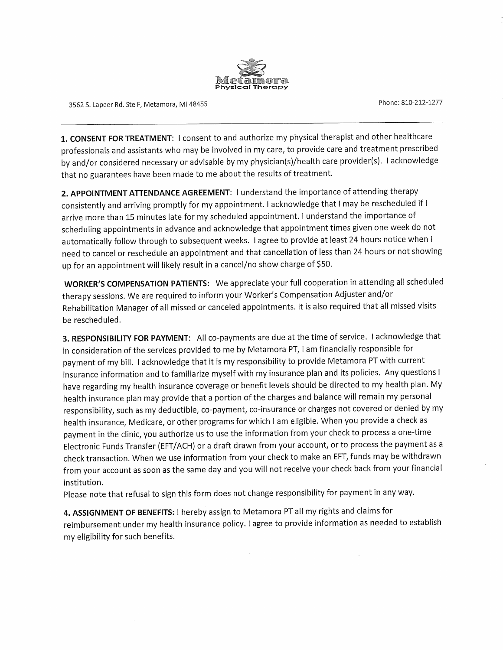

3562 S. Lapeer Rd. Ste F, Metamora, MI 48455

Phone: 810-212-1277

1. CONSENT FOR TREATMENT: I consent to and authorize my physical therapist and other healthcare professionals and assistants who may be involved in my care, to provide care and treatment prescribed by and/or considered necessary or advisable by my physician(s)/health care provider(s). I acknowledge that no guarantees have been made to me about the results of treatment.

2. APPOINTMENT ATTENDANCE AGREEMENT: I understand the importance of attending therapy consistently and arriving promptly for my appointment. I acknowledge that I may be rescheduled if I arrive more than 15 minutes late for my scheduled appointment. I understand the importance of scheduling appointments in advance and acknowledge that appointment times given one week do not automatically follow through to subsequent weeks. I agree to provide at least 24 hours notice when I need to cancel or reschedule an appointment and that cancellation of less than 24 hours or not showing up for an appointment will likely result in a cancel/no show charge of \$50.

WORKER'S COMPENSATION PATIENTS: We appreciate your full cooperation in attending all scheduled therapy sessions. We are required to inform your Worker's Compensation Adjuster and/or Rehabilitation Manager of all missed or canceled appointments. It is also required that all missed visits be rescheduled.

3. RESPONSIBILITY FOR PAYMENT: All co-payments are due at the time of service. I acknowledge that in consideration of the services provided to me by Metamora PT, I am financially responsible for payment of my bill. I acknowledge that it is my responsibility to provide Metamora PT with current insurance information and to familiarize myself with my insurance plan and its policies. Any questions I have regarding my health insurance coverage or benefit levels should be directed to my health plan. My health insurance plan may provide that a portion of the charges and balance will remain my personal responsibility, such as my deductible, co-payment, co-insurance or charges not covered or denied by my health insurance, Medicare, or other programs for which I am eligible. When you provide a check as payment in the clinic, you authorize us to use the information from your check to process a one-time Electronic Funds Transfer (EFT/ACH) or a draft drawn from your account, or to process the payment as a check transaction. When we use information from your check to make an EFT, funds may be withdrawn from your account as soon as the same day and you will not receive your check back from your financial institution.

Please note that refusal to sign this form does not change responsibility for payment in any way.

4. ASSIGNMENT OF BENEFITS: I hereby assign to Metamora PT all my rights and claims for reimbursement under my health insurance policy. I agree to provide information as needed to establish my eligibility for such benefits.

 $\sim$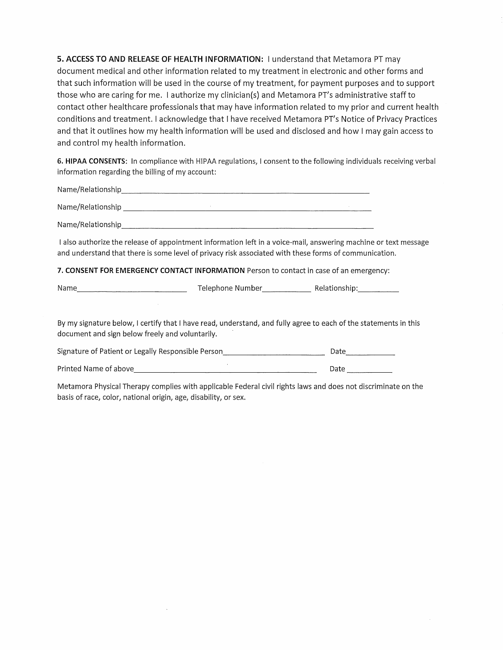5. ACCESS TO AND RELEASE OF HEALTH INFORMATION: I understand that Metamora PT may document medical and other information related to my treatment in electronic and other forms and that such information will be used in the course of my treatment, for payment purposes and to support those who are caring for me. I authorize my clinician(s) and Metamora PT's administrative staff to contact other healthcare professionals that may have information related to my prior and current health conditions and treatment. I acknowledge that I have received Metamora PT's Notice of Privacy Practices and that it outlines how my health information will be used and disclosed and how I may gain access to and control my health information.

6. HIPAA CONSENTS: In compliance with HIPAA regulations, I consent to the following individuals receiving verbal information regarding the billing of my account:

Name/Relationship expression of the contract of the contract of the contract of the contract of the contract of

Name/Relationship

I also authorize the release of appointment information left in a voice-mail, answering machine or text message and understand that there is some level of privacy risk associated with these forms of communication.

7. CONSENT FOR EMERGENCY CONTACT INFORMATION Person to contact in case of an emergency:

Name Relationship: Telephone Number Relationship: Telephone Number Relationship:

By my signature below, I certify that I have read, understand, and fully agree to each of the statements in this document and sign below freely and voluntarily.

Signature of Patient or Legally Responsible Person<br>
Mate

Date <u> 1980 - Johann Stein, marwolaethau a bhann an t-Amhair an t-Amhair an t-Amhair an t-Amhair an t-Amhair an t-A</u>

Metamora Physical Therapy complies with applicable Federal civil rights laws and does not discriminate on the basis of race, color, national origin, age, disability, or sex.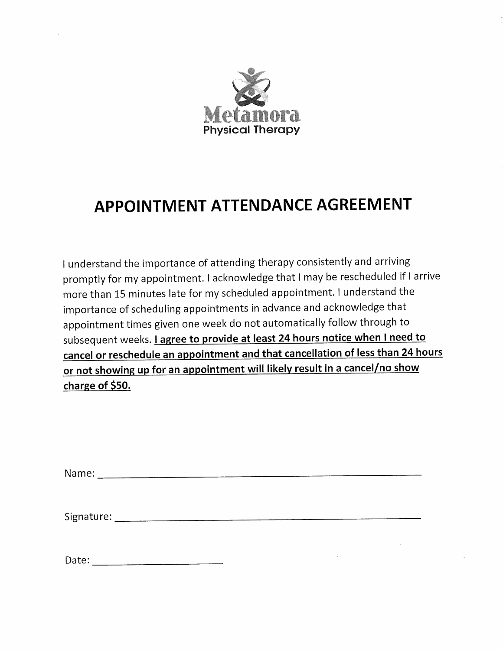

# **APPOINTMENT ATTENDANCE AGREEMENT**

I understand the importance of attending therapy consistently and arriving promptly for my appointment. I acknowledge that I may be rescheduled if I arrive more than 15 minutes late for my scheduled appointment. I understand the importance of scheduling appointments in advance and acknowledge that appointment times given one week do not automatically follow through to subsequent weeks. *Lagree to provide at least 24 hours notice when I need to* cancel or reschedule an appointment and that cancellation of less than 24 hours or not showing up for an appointment will likely result in a cancel/no show charge of \$50.

| Date: |  |
|-------|--|
|-------|--|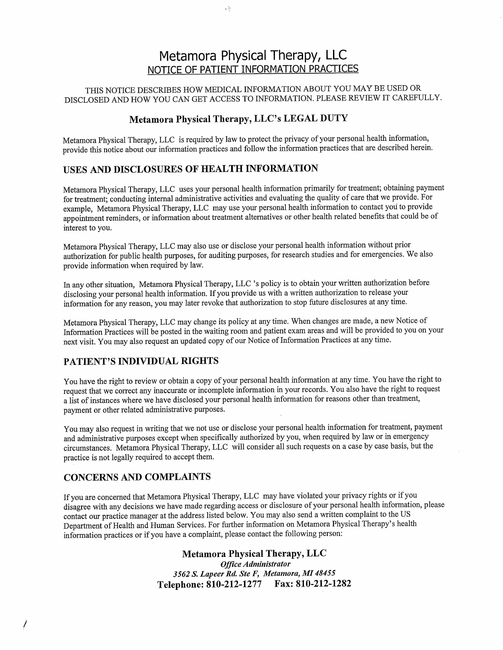# Metamora Physical Therapy, LLC NOTICE OF PATIENT INFORMATION PRACTICES

#### THIS NOTICE DESCRIBES HOW MEDICAL INFORMATION ABOUT YOU MAY BE USED OR DISCLOSED AND HOW YOU CAN GET ACCESS TO INFORMATION. PLEASE REVIEW IT CAREFULLY.

#### Metamora Physical Therapy, LLC's LEGAL DUTY

 $\epsilon$   $>$ 

Metamora Physical Therapy, LLC is required by law to protect the privacy of your personal health information, provide this notice about our information practices and follow the information practices that are described herein.

#### USES AND DISCLOSURES OF HEALTH INFORMATION

Metamora Physical Therapy, LLC uses your personal health information primarily for treatment; obtaining payment for treatment; conducting internal administrative activities and evaluating the quality of care that we provide. For example. Metamora Physical Therapy, LLC may use your personal health information to contact you to provide appointment reminders, or information about treatment alternatives or other health related benefits that could be of interest to you.

Metamora Physical Therapy, LLC may also use or disclose your personal health information without prior authorization for public health purposes, for auditing purposes, for research studies and for emergencies. We also provide information when required by law.

In any other situation, Metamora Physical Therapy, LLC 's policy is to obtain your written authorization before disclosing your personal health information. If you provide us with a written authorization to release your information for any reason, you may later revoke that authorization to stop future disclosures at any time.

Metamora Physical Therapy, LLC may change its policy at any time. When changes are made, a new Notice of Information Practices will be posted in the waiting room and patient exam areas and will be provided to you on your next visit. You may also request an updated copy of our Notice of Information Practices at any time.

### PATIENT'S INDIVIDUAL RIGHTS

You have the right to review or obtain a copy of your personal health information at any time. You have the right to request that we correct any inaccurate or incomplete information in your records. You also have the right to request a list of instances where we have disclosed your personal health information for reasons other than treatment, payment or other related administrative purposes.

You may also request in writing that we not use or disclose your personal health information for treatment, payment and administrative purposes except when specifically authorized by you, when required by law or in emergency circumstances. Metamora Physical Therapy, LLC will consider all such requests on a case by case basis, but the practice is not legally required to accept them.

#### **CONCERNS AND COMPLAINTS**

If you are concerned that Metamora Physical Therapy, LLC may have violated your privacy rights or if you disagree with any decisions we have made regarding access or disclosure of your personal health information, please contact our practice manager at the address listed below. You may also send a written complaint to the US Department of Health and Human Services. For further information on Metamora Physical Therapy's health information practices or if you have a complaint, please contact the following person:

> **Metamora Physical Therapy, LLC** Office Administrator 3562 S. Lapeer Rd. Ste F, Metamora, MI 48455 Telephone: 810-212-1277 Fax: 810-212-1282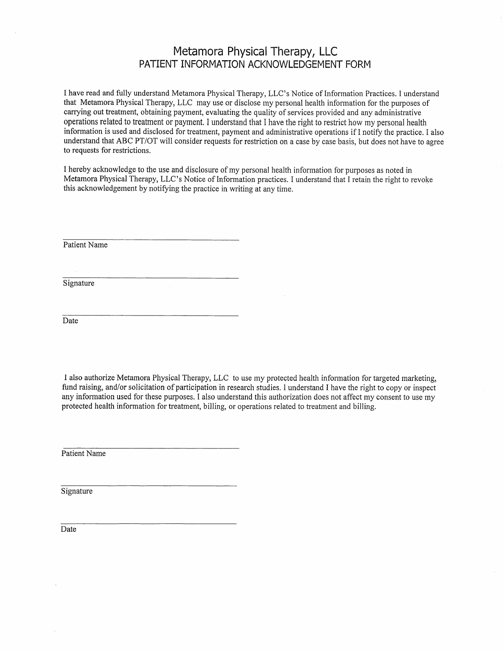## Metamora Physical Therapy, LLC PATIENT INFORMATION ACKNOWLEDGEMENT FORM

I have read and fully understand Metamora Physical Therapy, LLC's Notice of Information Practices. I understand that Metamora Physical Therapy, LLC may use or disclose my personal health information for the purposes of carrying out treatment, obtaining payment, evaluating the quality of services provided and any administrative operations related to treatment or payment. I understand that I have the right to restrict how my personal health information is used and disclosed for treatment, payment and administrative operations if I notify the practice. I also understand that ABC PT/OT will consider requests for restriction on a case by case basis, but does not have to agree to requests for restrictions.

I hereby acknowledge to the use and disclosure of my personal health information for purposes as noted in Metamora Physical Therapy, LLC's Notice of Information practices. I understand that I retain the right to revoke this acknowledgement by notifying the practice in writing at any time.

Patient Name

Signature

Date

I also authorize Metamora Physical Therapy, LLC to use my protected health information for targeted marketing, fund raising, and/or solicitation of participation in research studies. I understand I have the right to copy or inspect any information used for these purposes. I also understand this authorization does not affect my consent to use my protected health information for treatment, billing, or operations related to treatment and billing.

Patient Name

Signature

Date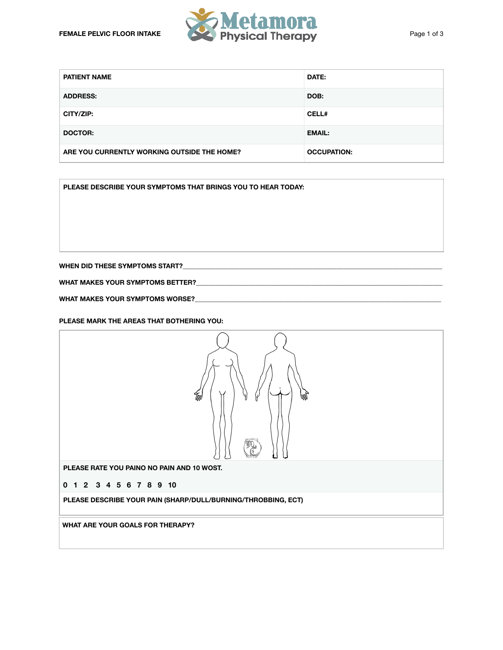

| <b>PATIENT NAME</b>                         | <b>DATE:</b>       |
|---------------------------------------------|--------------------|
| <b>ADDRESS:</b>                             | DOB:               |
| CITY/ZIP:                                   | <b>CELL#</b>       |
| <b>DOCTOR:</b>                              | <b>EMAIL:</b>      |
| ARE YOU CURRENTLY WORKING OUTSIDE THE HOME? | <b>OCCUPATION:</b> |

**PLEASE DESCRIBE YOUR SYMPTOMS THAT BRINGS YOU TO HEAR TODAY:** 

**WHEN DID THESE SYMPTOMS START?\_\_\_\_\_\_\_\_\_\_\_\_\_\_\_\_\_\_\_\_\_\_\_\_\_\_\_\_\_\_\_\_\_\_\_\_\_\_\_\_\_\_\_\_\_\_\_\_\_\_\_\_\_\_\_\_\_\_\_\_\_\_\_\_\_\_\_\_\_\_\_\_\_\_\_\_\_\_\_** 

**WHAT MAKES YOUR SYMPTOMS BETTER?\_\_\_\_\_\_\_\_\_\_\_\_\_\_\_\_\_\_\_\_\_\_\_\_\_\_\_\_\_\_\_\_\_\_\_\_\_\_\_\_\_\_\_\_\_\_\_\_\_\_\_\_\_\_\_\_\_\_\_\_\_\_\_\_\_\_\_\_\_\_\_\_\_\_\_** 

WHAT MAKES YOUR SYMPTOMS WORSE?

**PLEASE MARK THE AREAS THAT BOTHERING YOU:**

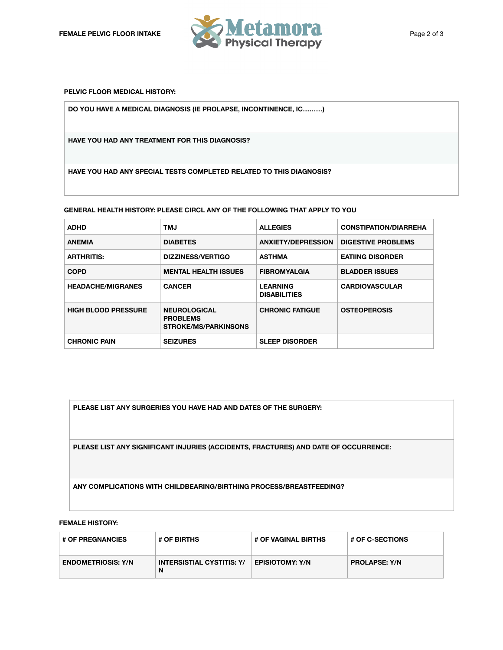

**PELVIC FLOOR MEDICAL HISTORY:**

**DO YOU HAVE A MEDICAL DIAGNOSIS (IE PROLAPSE, INCONTINENCE, IC………)** 

**HAVE YOU HAD ANY TREATMENT FOR THIS DIAGNOSIS?** 

**HAVE YOU HAD ANY SPECIAL TESTS COMPLETED RELATED TO THIS DIAGNOSIS?** 

**GENERAL HEALTH HISTORY: PLEASE CIRCL ANY OF THE FOLLOWING THAT APPLY TO YOU**

| <b>ADHD</b>                | <b>TMJ</b>                                                            | <b>ALLEGIES</b>                        | <b>CONSTIPATION/DIARREHA</b> |
|----------------------------|-----------------------------------------------------------------------|----------------------------------------|------------------------------|
| <b>ANEMIA</b>              | <b>DIABETES</b>                                                       | <b>ANXIETY/DEPRESSION</b>              | <b>DIGESTIVE PROBLEMS</b>    |
| <b>ARTHRITIS:</b>          | DIZZINESS/VERTIGO                                                     | <b>ASTHMA</b>                          | <b>EATIING DISORDER</b>      |
| <b>COPD</b>                | <b>MENTAL HEALTH ISSUES</b>                                           | <b>FIBROMYALGIA</b>                    | <b>BLADDER ISSUES</b>        |
| <b>HEADACHE/MIGRANES</b>   | <b>CANCER</b>                                                         | <b>LEARNING</b><br><b>DISABILITIES</b> | <b>CARDIOVASCULAR</b>        |
| <b>HIGH BLOOD PRESSURE</b> | <b>NEUROLOGICAL</b><br><b>PROBLEMS</b><br><b>STROKE/MS/PARKINSONS</b> | <b>CHRONIC FATIGUE</b>                 | <b>OSTEOPEROSIS</b>          |
| <b>CHRONIC PAIN</b>        | <b>SEIZURES</b>                                                       | <b>SLEEP DISORDER</b>                  |                              |

**PLEASE LIST ANY SURGERIES YOU HAVE HAD AND DATES OF THE SURGERY:** 

**PLEASE LIST ANY SIGNIFICANT INJURIES (ACCIDENTS, FRACTURES) AND DATE OF OCCURRENCE:** 

**ANY COMPLICATIONS WITH CHILDBEARING/BIRTHING PROCESS/BREASTFEEDING?** 

#### **FEMALE HISTORY:**

| <b># OF PREGNANCIES</b>   | <b># OF BIRTHS</b>                    | # OF VAGINAL BIRTHS    | $^{\circ}$ # OF C-SECTIONS |
|---------------------------|---------------------------------------|------------------------|----------------------------|
| <b>ENDOMETRIOSIS: Y/N</b> | <b>INTERSISTIAL CYSTITIS: Y/</b><br>N | <b>EPISIOTOMY: Y/N</b> | <b>PROLAPSE: Y/N</b>       |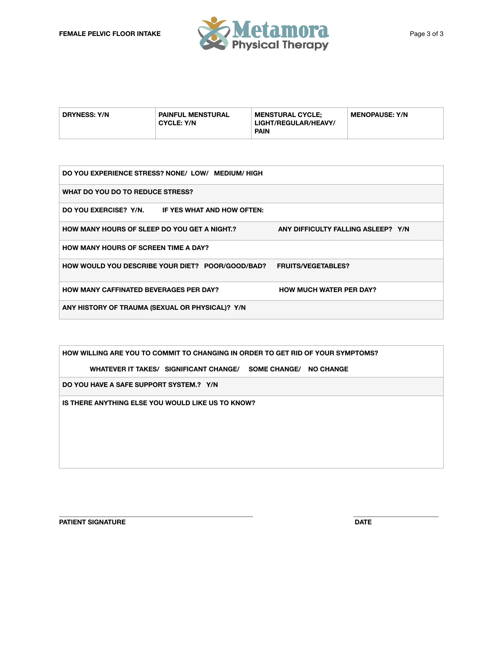

| <b>DRYNESS: Y/N</b> | <b>PAINFUL MENSTURAL</b><br><b>CYCLE: Y/N</b> | <b>MENSTURAL CYCLE:</b><br>LIGHT/REGULAR/HEAVY/ | <b>MENOPAUSE: Y/N</b> |
|---------------------|-----------------------------------------------|-------------------------------------------------|-----------------------|
|                     |                                               | <b>PAIN</b>                                     |                       |

| DO YOU EXPERIENCE STRESS? NONE/ LOW/ MEDIUM/HIGH    |                                    |  |  |  |
|-----------------------------------------------------|------------------------------------|--|--|--|
| WHAT DO YOU DO TO REDUCE STRESS?                    |                                    |  |  |  |
| DO YOU EXERCISE? Y/N. IF YES WHAT AND HOW OFTEN:    |                                    |  |  |  |
| <b>HOW MANY HOURS OF SLEEP DO YOU GET A NIGHT.?</b> | ANY DIFFICULTY FALLING ASLEEP? Y/N |  |  |  |
| <b>HOW MANY HOURS OF SCREEN TIME A DAY?</b>         |                                    |  |  |  |
| HOW WOULD YOU DESCRIBE YOUR DIET? POOR/GOOD/BAD?    | <b>FRUITS/VEGETABLES?</b>          |  |  |  |
| <b>HOW MANY CAFFINATED BEVERAGES PER DAY?</b>       | <b>HOW MUCH WATER PER DAY?</b>     |  |  |  |
| ANY HISTORY OF TRAUMA (SEXUAL OR PHYSICAL)? Y/N     |                                    |  |  |  |

**\_\_\_\_\_\_\_\_\_\_\_\_\_\_\_\_\_\_\_\_\_\_\_\_\_\_\_\_\_\_\_\_\_\_\_\_\_\_\_\_\_\_\_\_\_\_\_\_\_\_\_\_\_\_\_\_\_\_\_ \_\_\_\_\_\_\_\_\_\_\_\_\_\_\_\_\_\_\_\_\_\_\_\_\_\_** 

**HOW WILLING ARE YOU TO COMMIT TO CHANGING IN ORDER TO GET RID OF YOUR SYMPTOMS?** 

 **WHATEVER IT TAKES/ SIGNIFICANT CHANGE/ SOME CHANGE/ NO CHANGE**

**DO YOU HAVE A SAFE SUPPORT SYSTEM.? Y/N**

**IS THERE ANYTHING ELSE YOU WOULD LIKE US TO KNOW?** 

**PATIENT SIGNATURE** DATE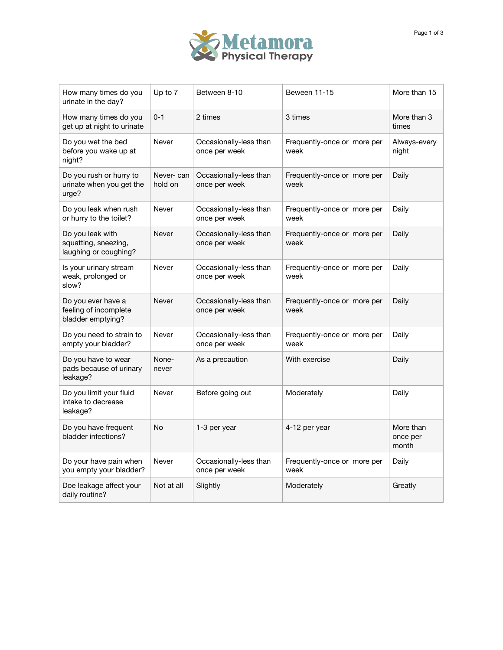

| How many times do you<br>urinate in the day?                      | Up to 7              | Between 8-10                            | Beween 11-15                        | More than 15                   |
|-------------------------------------------------------------------|----------------------|-----------------------------------------|-------------------------------------|--------------------------------|
| How many times do you<br>get up at night to urinate               | $0 - 1$              | 2 times                                 | 3 times                             | More than 3<br>times           |
| Do you wet the bed<br>before you wake up at<br>night?             | Never                | Occasionally-less than<br>once per week | Frequently-once or more per<br>week | Always-every<br>night          |
| Do you rush or hurry to<br>urinate when you get the<br>urge?      | Never-can<br>hold on | Occasionally-less than<br>once per week | Frequently-once or more per<br>week | Daily                          |
| Do you leak when rush<br>or hurry to the toilet?                  | Never                | Occasionally-less than<br>once per week | Frequently-once or more per<br>week | Daily                          |
| Do you leak with<br>squatting, sneezing,<br>laughing or coughing? | Never                | Occasionally-less than<br>once per week | Frequently-once or more per<br>week | Daily                          |
| Is your urinary stream<br>weak, prolonged or<br>slow?             | Never                | Occasionally-less than<br>once per week | Frequently-once or more per<br>week | Daily                          |
| Do you ever have a<br>feeling of incomplete<br>bladder emptying?  | Never                | Occasionally-less than<br>once per week | Frequently-once or more per<br>week | Daily                          |
| Do you need to strain to<br>empty your bladder?                   | Never                | Occasionally-less than<br>once per week | Frequently-once or more per<br>week | Daily                          |
| Do you have to wear<br>pads because of urinary<br>leakage?        | None-<br>never       | As a precaution                         | With exercise                       | Daily                          |
| Do you limit your fluid<br>intake to decrease<br>leakage?         | Never                | Before going out                        | Moderately                          | Daily                          |
| Do you have frequent<br>bladder infections?                       | No                   | 1-3 per year                            | 4-12 per year                       | More than<br>once per<br>month |
| Do your have pain when<br>you empty your bladder?                 | Never                | Occasionally-less than<br>once per week | Frequently-once or more per<br>week | Daily                          |
| Doe leakage affect your<br>daily routine?                         | Not at all           | Slightly                                | Moderately                          | Greatly                        |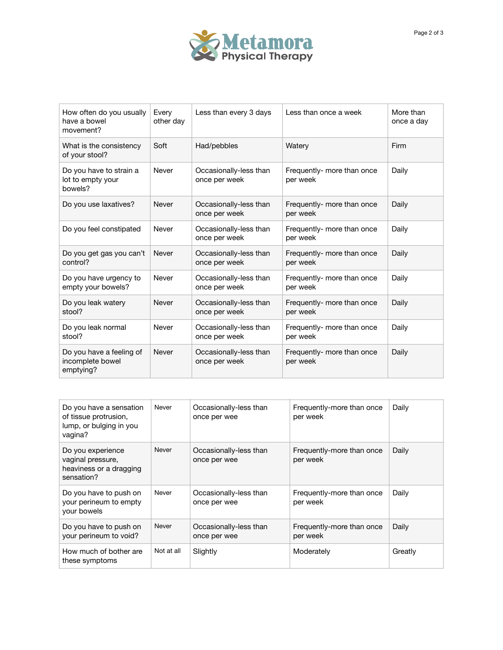

| How often do you usually<br>have a bowel<br>movement?     | Every<br>other day | Less than every 3 days                  | Less than once a week                  | More than<br>once a day |
|-----------------------------------------------------------|--------------------|-----------------------------------------|----------------------------------------|-------------------------|
| What is the consistency<br>of your stool?                 | Soft               | Had/pebbles                             | Watery                                 | Firm                    |
| Do you have to strain a<br>lot to empty your<br>bowels?   | Never              | Occasionally-less than<br>once per week | Frequently- more than once<br>per week | Daily                   |
| Do you use laxatives?                                     | Never              | Occasionally-less than<br>once per week | Frequently- more than once<br>per week | Daily                   |
| Do you feel constipated                                   | Never              | Occasionally-less than<br>once per week | Frequently- more than once<br>per week | Daily                   |
| Do you get gas you can't<br>control?                      | Never              | Occasionally-less than<br>once per week | Frequently- more than once<br>per week | Daily                   |
| Do you have urgency to<br>empty your bowels?              | Never              | Occasionally-less than<br>once per week | Frequently- more than once<br>per week | Daily                   |
| Do you leak watery<br>stool?                              | Never              | Occasionally-less than<br>once per week | Frequently- more than once<br>per week | Daily                   |
| Do you leak normal<br>stool?                              | Never              | Occasionally-less than<br>once per week | Frequently- more than once<br>per week | Daily                   |
| Do you have a feeling of<br>incomplete bowel<br>emptying? | Never              | Occasionally-less than<br>once per week | Frequently- more than once<br>per week | Daily                   |

| Do you have a sensation<br>of tissue protrusion,<br>lump, or bulging in you<br>vagina? | Never      | Occasionally-less than<br>once per wee | Frequently-more than once<br>per week | Daily   |
|----------------------------------------------------------------------------------------|------------|----------------------------------------|---------------------------------------|---------|
| Do you experience<br>vaginal pressure,<br>heaviness or a dragging<br>sensation?        | Never      | Occasionally-less than<br>once per wee | Frequently-more than once<br>per week | Daily   |
| Do you have to push on<br>your perineum to empty<br>your bowels                        | Never      | Occasionally-less than<br>once per wee | Frequently-more than once<br>per week | Daily   |
| Do you have to push on<br>your perineum to void?                                       | Never      | Occasionally-less than<br>once per wee | Frequently-more than once<br>per week | Daily   |
| How much of bother are<br>these symptoms                                               | Not at all | Slightly                               | Moderately                            | Greatly |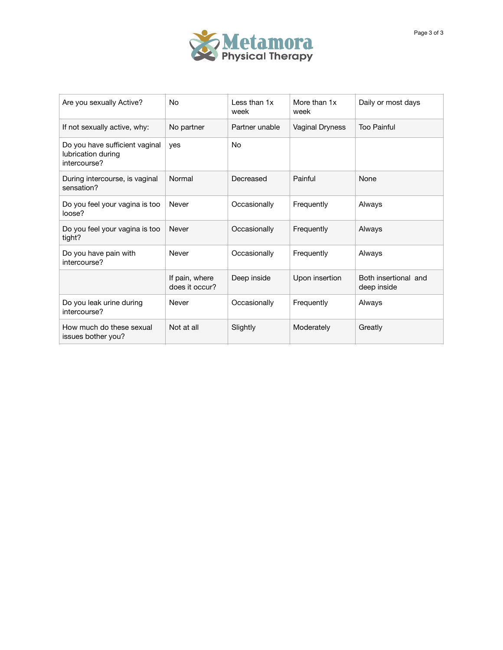

| Are you sexually Active?                                             | No                               | Less than 1x<br>week | More than 1x<br>week | Daily or most days                  |
|----------------------------------------------------------------------|----------------------------------|----------------------|----------------------|-------------------------------------|
| If not sexually active, why:                                         | No partner                       | Partner unable       | Vaginal Dryness      | <b>Too Painful</b>                  |
| Do you have sufficient vaginal<br>lubrication during<br>intercourse? | yes                              | No                   |                      |                                     |
| During intercourse, is vaginal<br>sensation?                         | Normal                           | Decreased            | Painful              | None                                |
| Do you feel your vagina is too<br>loose?                             | Never                            | Occasionally         | Frequently           | Always                              |
| Do you feel your vagina is too<br>tight?                             | Never                            | Occasionally         | Frequently           | Always                              |
| Do you have pain with<br>intercourse?                                | Never                            | Occasionally         | Frequently           | Always                              |
|                                                                      | If pain, where<br>does it occur? | Deep inside          | Upon insertion       | Both insertional and<br>deep inside |
| Do you leak urine during<br>intercourse?                             | Never                            | Occasionally         | Frequently           | Always                              |
| How much do these sexual<br>issues bother you?                       | Not at all                       | Slightly             | Moderately           | Greatly                             |